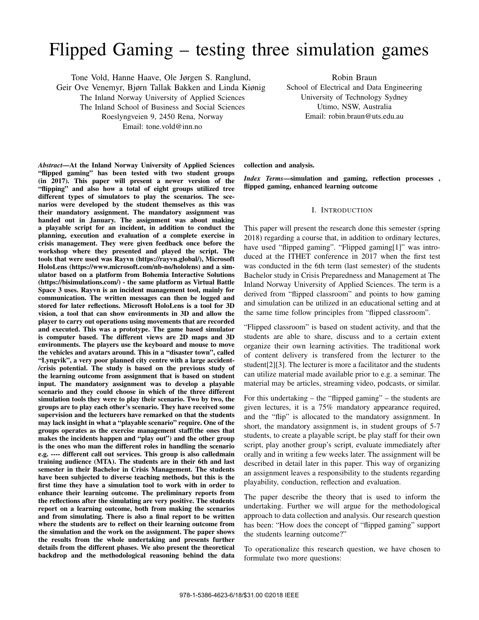# Flipped Gaming – testing three simulation games

Tone Vold, Hanne Haave, Ole Jørgen S. Ranglund, Geir Ove Venemyr, Bjørn Tallak Bakken and Linda Kiønig The Inland Norway University of Applied Sciences The Inland School of Business and Social Sciences Roeslyngveien 9, 2450 Rena, Norway Email: tone.vold@inn.no

Robin Braun School of Electrical and Data Engineering University of Technology Sydney Utimo, NSW, Australia Email: robin.braun@uts.edu.au

*Abstract*—At the Inland Norway University of Applied Sciences "flipped gaming" has been tested with two student groups (in 2017). This paper will present a newer version of the "flipping" and also how a total of eight groups utilized tree different types of simulators to play the scenarios. The scenarios were developed by the student themselves as this was their mandatory assignment. The mandatory assignment was handed out in January. The assignment was about making a playable script for an incident, in addition to conduct the planning, execution and evaluation of a complete exercise in crisis management. They were given feedback once before the workshop where they presented and played the script. The tools that were used was Rayvn (https://rayvn.global/), Microsoft HoloLens (https://www.microsoft.com/nb-no/hololens) and a simulator based on a platform from Bohemia Interactive Solutions (https://bisimulations.com/) - the same platform as Virtual Battle Space 3 uses. Rayvn is an incident management tool, mainly for communication. The written messages can then be logged and stored for later reflections. Microsoft HoloLens is a tool for 3D vision, a tool that can show environments in 3D and allow the player to carry out operations using movements that are recorded and executed. This was a prototype. The game based simulator is computer based. The different views are 2D maps and 3D environments. The players use the keyboard and mouse to move the vehicles and avatars around. This in a "disaster town", called "Lyngvik", a very poor planned city centre with a large accident- /crisis potential. The study is based on the previous study of the learning outcome from assignment that is based on student input. The mandatory assignment was to develop a playable scenario and they could choose in which of the three different simulation tools they were to play their scenario. Two by two, the groups are to play each other's scenario. They have received some supervision and the lecturers have remarked on that the students may lack insight in what a "playable scenario" require. One of the groups operates as the exercise management staff(the ones that makes the incidents happen and "play out") and the other group is the ones who man the different roles in handling the scenario e.g. ---- different call out services. This group is also calledmain training audience (MTA). The students are in their 6th and last semester in their Bachelor in Crisis Management. The students have been subjected to diverse teaching methods, but this is the first time they have a simulation tool to work with in order to enhance their learning outcome. The preliminary reports from the reflections after the simulating are very positive. The students report on a learning outcome, both from making the scenarios and from simulating. There is also a final report to be written where the students are to reflect on their learning outcome from the simulation and the work on the assignment. The paper shows the results from the whole undertaking and presents further details from the different phases. We also present the theoretical backdrop and the methodological reasoning behind the data

collection and analysis.

*Index Terms*—simulation and gaming, reflection processes , flipped gaming, enhanced learning outcome

## I. INTRODUCTION

This paper will present the research done this semester (spring 2018) regarding a course that, in addition to ordinary lectures, have used "flipped gaming". "Flipped gaming[1]" was introduced at the ITHET conference in 2017 when the first test was conducted in the 6th term (last semester) of the students Bachelor study in Crisis Preparedness and Management at The Inland Norway University of Applied Sciences. The term is a derived from "flipped classroom" and points to how gaming and simulation can be utilized in an educational setting and at the same time follow principles from "flipped classroom".

"Flipped classroom" is based on student activity, and that the students are able to share, discuss and to a certain extent organize their own learning activities. The traditional work of content delivery is transfered from the lecturer to the student[2][3]. The lecturer is more a facilitator and the students can utilize material made available prior to e.g. a seminar. The material may be articles, streaming video, podcasts, or similar.

For this undertaking – the "flipped gaming" – the students are given lectures, it is a 75% mandatory appearance required, and the "flip" is allocated to the mandatory assignment. In short, the mandatory assignment is, in student groups of 5-7 students, to create a playable script, be play staff for their own script, play another group's script, evaluate immediately after orally and in writing a few weeks later. The assignment will be described in detail later in this paper. This way of organizing an assignment leaves a responsibility to the students regarding playability, conduction, reflection and evaluation.

The paper describe the theory that is used to inform the undertaking. Further we will argue for the methodological approach to data collection and analysis. Our research question has been: "How does the concept of "flipped gaming" support the students learning outcome?"

To operationalize this research question, we have chosen to formulate two more questions: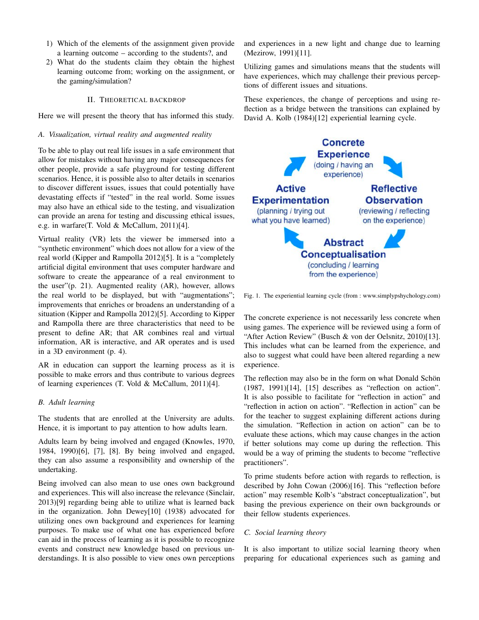- 1) Which of the elements of the assignment given provide a learning outcome – according to the students?, and
- 2) What do the students claim they obtain the highest learning outcome from; working on the assignment, or the gaming/simulation?

## II. THEORETICAL BACKDROP

Here we will present the theory that has informed this study.

## *A. Visualization, virtual reality and augmented reality*

To be able to play out real life issues in a safe environment that allow for mistakes without having any major consequences for other people, provide a safe playground for testing different scenarios. Hence, it is possible also to alter details in scenarios to discover different issues, issues that could potentially have devastating effects if "tested" in the real world. Some issues may also have an ethical side to the testing, and visualization can provide an arena for testing and discussing ethical issues, e.g. in warfare(T. Vold & McCallum, 2011)[4].

Virtual reality (VR) lets the viewer be immersed into a "synthetic environment" which does not allow for a view of the real world (Kipper and Rampolla 2012)[5]. It is a "completely artificial digital environment that uses computer hardware and software to create the appearance of a real environment to the user"(p. 21). Augmented reality (AR), however, allows the real world to be displayed, but with "augmentations"; improvements that enriches or broadens an understanding of a situation (Kipper and Rampolla 2012)[5]. According to Kipper and Rampolla there are three characteristics that need to be present to define AR; that AR combines real and virtual information, AR is interactive, and AR operates and is used in a 3D environment (p. 4).

AR in education can support the learning process as it is possible to make errors and thus contribute to various degrees of learning experiences (T. Vold & McCallum, 2011)[4].

#### *B. Adult learning*

The students that are enrolled at the University are adults. Hence, it is important to pay attention to how adults learn.

Adults learn by being involved and engaged (Knowles, 1970, 1984, 1990)[6], [7], [8]. By being involved and engaged, they can also assume a responsibility and ownership of the undertaking.

Being involved can also mean to use ones own background and experiences. This will also increase the relevance (Sinclair, 2013)[9] regarding being able to utilize what is learned back in the organization. John Dewey[10] (1938) advocated for utilizing ones own background and experiences for learning purposes. To make use of what one has experienced before can aid in the process of learning as it is possible to recognize events and construct new knowledge based on previous understandings. It is also possible to view ones own perceptions

and experiences in a new light and change due to learning (Mezirow, 1991)[11].

Utilizing games and simulations means that the students will have experiences, which may challenge their previous perceptions of different issues and situations.

These experiences, the change of perceptions and using reflection as a bridge between the transitions can explained by David A. Kolb (1984)[12] experiential learning cycle.



Fig. 1. The experiential learning cycle (from : www.simplypshychology.com)

The concrete experience is not necessarily less concrete when using games. The experience will be reviewed using a form of "After Action Review" (Busch & von der Oelsnitz, 2010)[13]. This includes what can be learned from the experience, and also to suggest what could have been altered regarding a new experience.

The reflection may also be in the form on what Donald Schön (1987, 1991)[14], [15] describes as "reflection on action". It is also possible to facilitate for "reflection in action" and "reflection in action on action". "Reflection in action" can be for the teacher to suggest explaining different actions during the simulation. "Reflection in action on action" can be to evaluate these actions, which may cause changes in the action if better solutions may come up during the reflection. This would be a way of priming the students to become "reflective practitioners".

To prime students before action with regards to reflection, is described by John Cowan (2006)[16]. This "reflection before action" may resemble Kolb's "abstract conceptualization", but basing the previous experience on their own backgrounds or their fellow students experiences.

## *C. Social learning theory*

It is also important to utilize social learning theory when preparing for educational experiences such as gaming and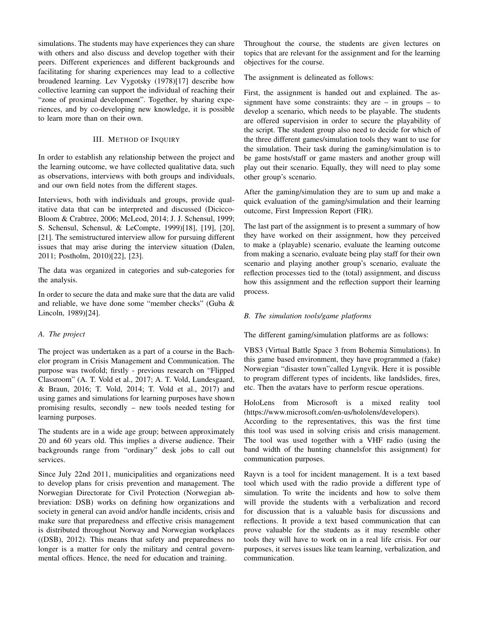simulations. The students may have experiences they can share with others and also discuss and develop together with their peers. Different experiences and different backgrounds and facilitating for sharing experiences may lead to a collective broadened learning. Lev Vygotsky (1978)[17] describe how collective learning can support the individual of reaching their "zone of proximal development". Together, by sharing experiences, and by co-developing new knowledge, it is possible to learn more than on their own.

# III. METHOD OF INQUIRY

In order to establish any relationship between the project and the learning outcome, we have collected qualitative data, such as observations, interviews with both groups and individuals, and our own field notes from the different stages.

Interviews, both with individuals and groups, provide qualitative data that can be interpreted and discussed (Dicicco-Bloom & Crabtree, 2006; McLeod, 2014; J. J. Schensul, 1999; S. Schensul, Schensul, & LeCompte, 1999)[18], [19], [20], [21]. The semistructured interview allow for pursuing different issues that may arise during the interview situation (Dalen, 2011; Postholm, 2010)[22], [23].

The data was organized in categories and sub-categories for the analysis.

In order to secure the data and make sure that the data are valid and reliable, we have done some "member checks" (Guba & Lincoln, 1989)[24].

# *A. The project*

The project was undertaken as a part of a course in the Bachelor program in Crisis Management and Communication. The purpose was twofold; firstly - previous research on "Flipped Classroom" (A. T. Vold et al., 2017; A. T. Vold, Lundesgaard, & Braun, 2016; T. Vold, 2014; T. Vold et al., 2017) and using games and simulations for learning purposes have shown promising results, secondly – new tools needed testing for learning purposes.

The students are in a wide age group; between approximately 20 and 60 years old. This implies a diverse audience. Their backgrounds range from "ordinary" desk jobs to call out services.

Since July 22nd 2011, municipalities and organizations need to develop plans for crisis prevention and management. The Norwegian Directorate for Civil Protection (Norwegian abbreviation: DSB) works on defining how organizations and society in general can avoid and/or handle incidents, crisis and make sure that preparedness and effective crisis management is distributed throughout Norway and Norwegian workplaces ((DSB), 2012). This means that safety and preparedness no longer is a matter for only the military and central governmental offices. Hence, the need for education and training.

Throughout the course, the students are given lectures on topics that are relevant for the assignment and for the learning objectives for the course.

The assignment is delineated as follows:

First, the assignment is handed out and explained. The assignment have some constraints: they are  $-$  in groups  $-$  to develop a scenario, which needs to be playable. The students are offered supervision in order to secure the playability of the script. The student group also need to decide for which of the three different games/simulation tools they want to use for the simulation. Their task during the gaming/simulation is to be game hosts/staff or game masters and another group will play out their scenario. Equally, they will need to play some other group's scenario.

After the gaming/simulation they are to sum up and make a quick evaluation of the gaming/simulation and their learning outcome, First Impression Report (FIR).

The last part of the assignment is to present a summary of how they have worked on their assignment, how they perceived to make a (playable) scenario, evaluate the learning outcome from making a scenario, evaluate being play staff for their own scenario and playing another group's scenario, evaluate the reflection processes tied to the (total) assignment, and discuss how this assignment and the reflection support their learning process.

# *B. The simulation tools/game platforms*

The different gaming/simulation platforms are as follows:

VBS3 (Virtual Battle Space 3 from Bohemia Simulations). In this game based environment, they have programmed a (fake) Norwegian "disaster town"called Lyngvik. Here it is possible to program different types of incidents, like landslides, fires, etc. Then the avatars have to perform rescue operations.

HoloLens from Microsoft is a mixed reality tool (https://www.microsoft.com/en-us/hololens/developers).

According to the representatives, this was the first time this tool was used in solving crisis and crisis management. The tool was used together with a VHF radio (using the band width of the hunting channelsfor this assignment) for communication purposes.

Rayvn is a tool for incident management. It is a text based tool which used with the radio provide a different type of simulation. To write the incidents and how to solve them will provide the students with a verbalization and record for discussion that is a valuable basis for discussions and reflections. It provide a text based communication that can prove valuable for the students as it may resemble other tools they will have to work on in a real life crisis. For our purposes, it serves issues like team learning, verbalization, and communication.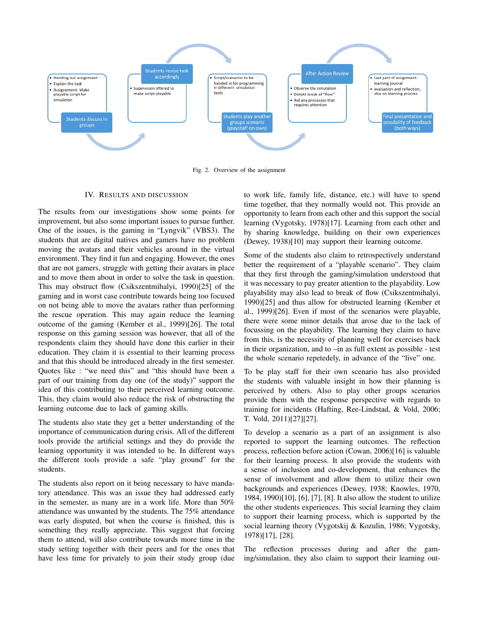

Fig. 2. Overview of the assignment

## IV. RESULTS AND DISCUSSION

The results from our investigations show some points for improvement, but also some important issues to pursue further. One of the issues, is the gaming in "Lyngvik" (VBS3). The students that are digital natives and gamers have no problem moving the avatars and their vehicles around in the virtual environment. They find it fun and engaging. However, the ones that are not gamers, struggle with getting their avatars in place and to move them about in order to solve the task in question. This may obstruct flow (Csikszentmihalyi, 1990)[25] of the gaming and in worst case contribute towards being too focused on not being able to move the avatars rather than performing the rescue operation. This may again reduce the learning outcome of the gaming (Kember et al., 1999)[26]. The total response on this gaming session was however, that all of the respondents claim they should have done this earlier in their education. They claim it is essential to their learning process and that this should be introduced already in the first semester. Quotes like : "we need this" and "this should have been a part of our training from day one (of the study)" support the idea of this contributing to their perceived learning outcome. This, they claim would also reduce the risk of obstructing the learning outcome due to lack of gaming skills.

The students also state they get a better understanding of the importance of communication during crisis. All of the different tools provide the artificial settings and they do provide the learning opportunity it was intended to be. In different ways the different tools provide a safe "play ground" for the students.

The students also report on it being necessary to have mandatory attendance. This was an issue they had addressed early in the semester, as many are in a work life. More than 50% attendance was unwanted by the students. The 75% attendance was early disputed, but when the course is finished, this is something they really appreciate. This suggest that forcing them to attend, will also contribute towards more time in the study setting together with their peers and for the ones that have less time for privately to join their study group (due to work life, family life, distance, etc.) will have to spend time together, that they normally would not. This provide an opportunity to learn from each other and this support the social learning (Vygotsky, 1978)[17]. Learning from each other and by sharing knowledge, building on their own experiences (Dewey, 1938)[10] may support their learning outcome.

Some of the students also claim to retrospectively understand better the requirement of a "playable scenario". They claim that they first through the gaming/simulation understood that it was necessary to pay greater attention to the playability. Low playability may also lead to break of flow (Csikszentmihalyi, 1990)[25] and thus allow for obstructed learning (Kember et al., 1999)[26]. Even if most of the scenarios were playable, there were some minor details that arose due to the lack of focussing on the playability. The learning they claim to have from this, is the necessity of planning well for exercises back in their organization, and to –in as full extent as possible - test the whole scenario repetedely, in advance of the "live" one.

To be play staff for their own scenario has also provided the students with valuable insight in how their planning is perceived by others. Also to play other groups scenarios provide them with the response perspective with regards to training for incidents (Hafting, Ree-Lindstad, & Vold, 2006; T. Vold, 2011)[27][27].

To develop a scenario as a part of an assignment is also reported to support the learning outcomes. The reflection process, reflection before action (Cowan, 2006)[16] is valuable for their learning process. It also provide the students with a sense of inclusion and co-development, that enhances the sense of involvement and allow them to utilize their own backgrounds and experiences (Dewey, 1938; Knowles, 1970, 1984, 1990)[10], [6], [7], [8]. It also allow the student to utilize the other students experiences. This social learning they claim to support their learning process, which is supported by the social learning theory (Vygotskij & Kozulin, 1986; Vygotsky, 1978)[17], [28].

The reflection processes during and after the gaming/simulation, they also claim to support their learning out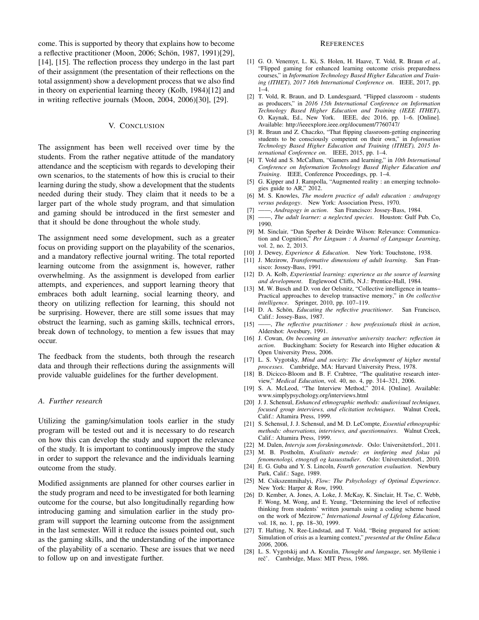come. This is supported by theory that explains how to become a reflective practitioner (Moon, 2006; Schön, 1987, 1991)[29], [14], [15]. The reflection process they undergo in the last part of their assignment (the presentation of their reflections on the total assignment) show a development process that we also find in theory on experiential learning theory (Kolb, 1984)[12] and in writing reflective journals (Moon, 2004, 2006)[30], [29].

## V. CONCLUSION

The assignment has been well received over time by the students. From the rather negative attitude of the mandatory attendance and the scepticism with regards to developing their own scenarios, to the statements of how this is crucial to their learning during the study, show a development that the students needed during their study. They claim that it needs to be a larger part of the whole study program, and that simulation and gaming should be introduced in the first semester and that it should be done throughout the whole study.

The assignment need some development, such as a greater focus on providing support on the playability of the scenarios, and a mandatory reflective journal writing. The total reported learning outcome from the assignment is, however, rather overwhelming. As the assignment is developed from earlier attempts, and experiences, and support learning theory that embraces both adult learning, social learning theory, and theory on utilizing reflection for learning, this should not be surprising. However, there are still some issues that may obstruct the learning, such as gaming skills, technical errors, break down of technology, to mention a few issues that may occur.

The feedback from the students, both through the research data and through their reflections during the assignments will provide valuable guidelines for the further development.

## *A. Further research*

Utilizing the gaming/simulation tools earlier in the study program will be tested out and it is necessary to do research on how this can develop the study and support the relevance of the study. It is important to continuously improve the study in order to support the relevance and the individuals learning outcome from the study.

Modified assignments are planned for other courses earlier in the study program and need to be investigated for both learning outcome for the course, but also longitudinally regarding how introducing gaming and simulation earlier in the study program will support the learning outcome from the assignment in the last semester. Will it reduce the issues pointed out, such as the gaming skills, and the understanding of the importance of the playability of a scenario. These are issues that we need to follow up on and investigate further.

#### **REFERENCES**

- [1] G. O. Venemyr, L. Ki, S. Holen, H. Haave, T. Vold, R. Braun *et al.*, "Flipped gaming for enhanced learning outcome crisis preparedness courses," in *Information Technology Based Higher Education and Training (ITHET), 2017 16th International Conference on*. IEEE, 2017, pp.  $1-4.$
- [2] T. Vold, R. Braun, and D. Lundesgaard, "Flipped classroom students as producers," in *2016 15th International Conference on Information Technology Based Higher Education and Training (IEEE ITHET)*, O. Kaynak, Ed., New York. IEEE, dec 2016, pp. 1–6. [Online]. Available: http://ieeexplore.ieee.org/document/7760747/
- [3] R. Braun and Z. Chaczko, "That flipping classroom-getting engineering students to be consciously competent on their own," in *Information Technology Based Higher Education and Training (ITHET), 2015 International Conference on*. IEEE, 2015, pp. 1–4.
- [4] T. Vold and S. McCallum, "Gamers and learning," in *10th International Conference on Information Technology Based Higher Education and Training*. IEEE, Conference Proceedings, pp. 1–4.
- [5] G. Kipper and J. Rampolla, "Augmented reality : an emerging technologies guide to AR," 2012.
- [6] M. S. Knowles, *The modern practice of adult education : andragogy versus pedagogy*. New York: Association Press, 1970.
- [7] ——, *Andragogy in action*. San Francisco: Jossey-Bass, 1984.
- [8] ——, *The adult learner: a neglected species*. Houston: Gulf Pub. Co, 1990.
- [9] M. Sinclair, "Dan Sperber & Deirdre Wilson: Relevance: Communication and Cognition," *Per Linguam : A Journal of Language Learning*, vol. 2, no. 2, 2013.
- [10] J. Dewey, *Experience & Education*. New York: Touchstone, 1938.
- [11] J. Mezirow, *Transformative dimensions of adult learning*. San Fransisco: Jossey-Bass, 1991.
- [12] D. A. Kolb, *Experiential learning: experience as the source of learning and development*. Englewood Cliffs, N.J.: Prentice-Hall, 1984.
- [13] M. W. Busch and D. von der Oelsnitz, "Collective intelligence in teams-Practical approaches to develop transactive memory," in *On collective intelligence*. Springer, 2010, pp. 107–119.
- [14] D. A. Schön, *Educating the reflective practitioner*. San Francisco, Calif.: Jossey-Bass, 1987.
- [15] ——, *The reflective practitioner : how professionals think in action*, Aldershot: Avesbury, 1991.
- [16] J. Cowan, *On becoming an innovative university teacher: reflection in action*. Buckingham: Society for Research into Higher education & Open University Press, 2006.
- [17] L. S. Vygotsky, *Mind and society: The development of higher mental processes*. Cambridge, MA: Harvard University Press, 1978.
- [18] B. Dicicco-Bloom and B. F. Crabtree, "The qualitative research interview," *Medical Education*, vol. 40, no. 4, pp. 314–321, 2006.
- [19] S. A. McLeod, "The Interview Method," 2014. [Online]. Available: www.simplypsychology.org/interviews.html
- [20] J. J. Schensul, *Enhanced ethnographic methods: audiovisual techniques, focused group interviews, and elicitation techniques*. Walnut Creek, Calif.: Altamira Press, 1999.
- [21] S. Schensul, J. J. Schensul, and M. D. LeCompte, *Essential ethnographic methods: observations, interviews, and questionnaires*. Walnut Creek, Calif.: Altamira Press, 1999.
- [22] M. Dalen, *Intervju som forskningsmetode*. Oslo: Universitetsforl., 2011.
- [23] M. B. Postholm, *Kvalitativ metode: en innføring med fokus på fenomenologi, etnografi og kasusstudier*. Oslo: Universitetsforl., 2010.
- [24] E. G. Guba and Y. S. Lincoln, *Fourth generation evaluation*. Newbury Park, Calif.: Sage, 1989.
- [25] M. Csikszentmihalyi, *Flow: The Pshychology of Optimal Experience*. New York: Harper & Row, 1990.
- [26] D. Kember, A. Jones, A. Loke, J. McKay, K. Sinclair, H. Tse, C. Webb, F. Wong, M. Wong, and E. Yeung, "Determining the level of reflective thinking from students' written journals using a coding scheme based on the work of Mezirow," *International Journal of Lifelong Education*, vol. 18, no. 1, pp. 18–30, 1999.
- [27] T. Hafting, N. Ree-Lindstad, and T. Vold, "Being prepared for action: Simulation of crisis as a learning context," *presented at the Online Educa 2006*, 2006.
- [28] L. S. Vygotskij and A. Kozulin, *Thought and language*, ser. Myšlenie i reč'. Cambridge, Mass: MIT Press, 1986.